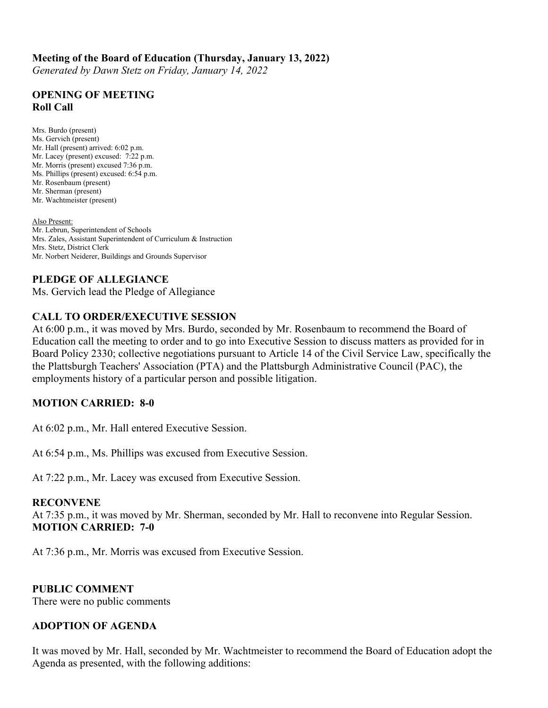## **Meeting of the Board of Education (Thursday, January 13, 2022)**

*Generated by Dawn Stetz on Friday, January 14, 2022*

### **OPENING OF MEETING Roll Call**

Mrs. Burdo (present) Ms. Gervich (present) Mr. Hall (present) arrived: 6:02 p.m. Mr. Lacey (present) excused: 7:22 p.m. Mr. Morris (present) excused 7:36 p.m. Ms. Phillips (present) excused: 6:54 p.m. Mr. Rosenbaum (present) Mr. Sherman (present) Mr. Wachtmeister (present)

Also Present: Mr. Lebrun, Superintendent of Schools Mrs. Zales, Assistant Superintendent of Curriculum & Instruction Mrs. Stetz, District Clerk Mr. Norbert Neiderer, Buildings and Grounds Supervisor

## **PLEDGE OF ALLEGIANCE**

Ms. Gervich lead the Pledge of Allegiance

# **CALL TO ORDER/EXECUTIVE SESSION**

At 6:00 p.m., it was moved by Mrs. Burdo, seconded by Mr. Rosenbaum to recommend the Board of Education call the meeting to order and to go into Executive Session to discuss matters as provided for in Board Policy 2330; collective negotiations pursuant to Article 14 of the Civil Service Law, specifically the the Plattsburgh Teachers' Association (PTA) and the Plattsburgh Administrative Council (PAC), the employments history of a particular person and possible litigation.

## **MOTION CARRIED: 8-0**

At 6:02 p.m., Mr. Hall entered Executive Session.

At 6:54 p.m., Ms. Phillips was excused from Executive Session.

At 7:22 p.m., Mr. Lacey was excused from Executive Session.

#### **RECONVENE**

At 7:35 p.m., it was moved by Mr. Sherman, seconded by Mr. Hall to reconvene into Regular Session. **MOTION CARRIED: 7-0**

At 7:36 p.m., Mr. Morris was excused from Executive Session.

#### **PUBLIC COMMENT**

There were no public comments

### **ADOPTION OF AGENDA**

It was moved by Mr. Hall, seconded by Mr. Wachtmeister to recommend the Board of Education adopt the Agenda as presented, with the following additions: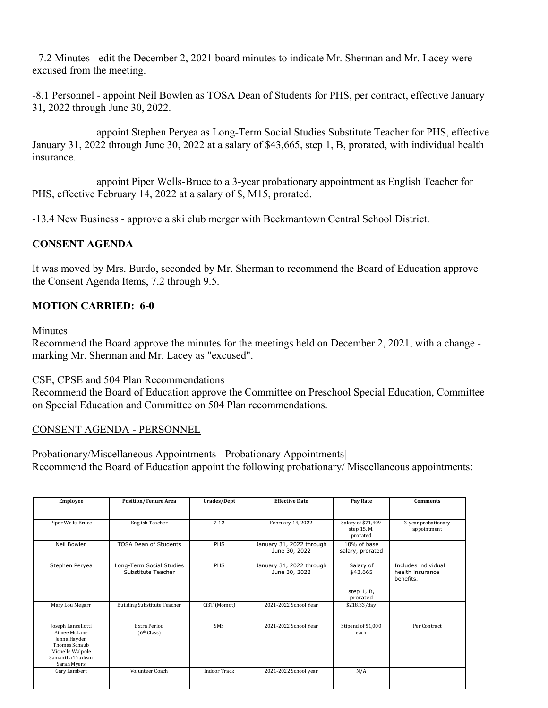- 7.2 Minutes - edit the December 2, 2021 board minutes to indicate Mr. Sherman and Mr. Lacey were excused from the meeting.

-8.1 Personnel - appoint Neil Bowlen as TOSA Dean of Students for PHS, per contract, effective January 31, 2022 through June 30, 2022.

 appoint Stephen Peryea as Long-Term Social Studies Substitute Teacher for PHS, effective January 31, 2022 through June 30, 2022 at a salary of \$43,665, step 1, B, prorated, with individual health insurance.

 appoint Piper Wells-Bruce to a 3-year probationary appointment as English Teacher for PHS, effective February 14, 2022 at a salary of \$, M15, prorated.

-13.4 New Business - approve a ski club merger with Beekmantown Central School District.

## **CONSENT AGENDA**

It was moved by Mrs. Burdo, seconded by Mr. Sherman to recommend the Board of Education approve the Consent Agenda Items, 7.2 through 9.5.

## **MOTION CARRIED: 6-0**

#### Minutes

Recommend the Board approve the minutes for the meetings held on December 2, 2021, with a change marking Mr. Sherman and Mr. Lacey as "excused".

#### CSE, CPSE and 504 Plan Recommendations

Recommend the Board of Education approve the Committee on Preschool Special Education, Committee on Special Education and Committee on 504 Plan recommendations.

### CONSENT AGENDA - PERSONNEL

Probationary/Miscellaneous Appointments - Probationary Appointments| Recommend the Board of Education appoint the following probationary/ Miscellaneous appointments:

| Employee                                                                                                                   | <b>Position/Tenure Area</b>                    | Grades/Dept         | <b>Effective Date</b>                     | Pay Rate                                        | <b>Comments</b>                                      |
|----------------------------------------------------------------------------------------------------------------------------|------------------------------------------------|---------------------|-------------------------------------------|-------------------------------------------------|------------------------------------------------------|
|                                                                                                                            |                                                |                     |                                           |                                                 |                                                      |
| Piper Wells-Bruce                                                                                                          | English Teacher                                | $7 - 12$            | February 14, 2022                         | Salary of \$71,409<br>step 15, M,<br>prorated   | 3-year probationary<br>appointment                   |
| Neil Bowlen                                                                                                                | <b>TOSA Dean of Students</b>                   | PHS                 | January 31, 2022 through<br>June 30, 2022 | 10% of base<br>salary, prorated                 |                                                      |
| Stephen Peryea                                                                                                             | Long-Term Social Studies<br>Substitute Teacher | PHS                 | January 31, 2022 through<br>June 30, 2022 | Salary of<br>\$43,665<br>step 1, B,<br>prorated | Includes individual<br>health insurance<br>benefits. |
| Mary Lou Megarr                                                                                                            | <b>Building Substitute Teacher</b>             | Ci3T (Momot)        | 2021-2022 School Year                     | \$218.33/day                                    |                                                      |
| Joseph Lancellotti<br>Aimee McLane<br>Jenna Hayden<br>Thomas Schaub<br>Michelle Walpole<br>Samantha Trudeau<br>Sarah Myers | <b>Extra Period</b><br>(6 <sup>th</sup> Class) | <b>SMS</b>          | 2021-2022 School Year                     | Stipend of \$1,000<br>each                      | Per Contract                                         |
| Gary Lambert                                                                                                               | Volunteer Coach                                | <b>Indoor Track</b> | 2021-2022 School year                     | N/A                                             |                                                      |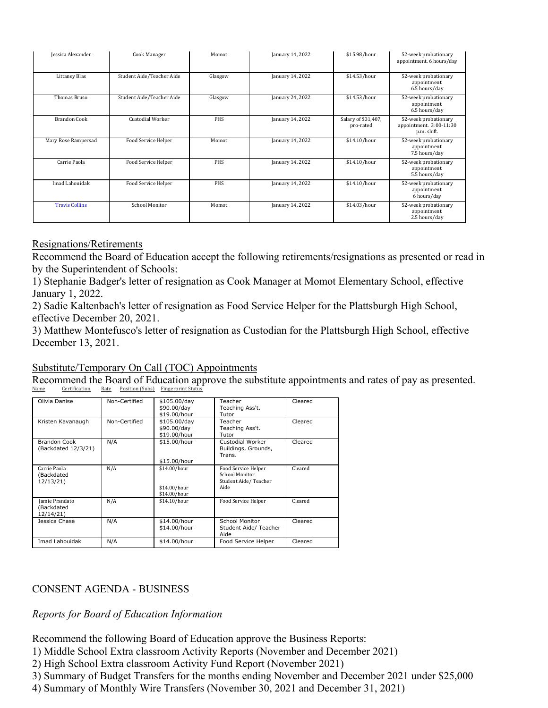| Jessica Alexander     | Cook Manager              | Momot      | January 14, 2022 | \$15.98/hour                     | 52-week probationary<br>appointment. 6 hours/day               |
|-----------------------|---------------------------|------------|------------------|----------------------------------|----------------------------------------------------------------|
| Littaney Blas         | Student Aide/Teacher Aide | Glasgow    | January 14, 2022 | \$14.53/hour                     | 52-week probationary<br>appointment.<br>6.5 hours/day          |
| Thomas Bruso          | Student Aide/Teacher Aide | Glasgow    | January 24, 2022 | \$14.53/hour                     | 52-week probationary<br>appointment.<br>6.5 hours/day          |
| <b>Brandon Cook</b>   | Custodial Worker          | <b>PHS</b> | January 14, 2022 | Salary of \$31,407,<br>pro-rated | 52-week probationary<br>appointment. 3:00-11:30<br>p.m. shift. |
| Mary Rose Rampersad   | Food Service Helper       | Momot      | January 14, 2022 | \$14.10/hour                     | 52-week probationary<br>appointment.<br>7.5 hours/day          |
| Carrie Paola          | Food Service Helper       | <b>PHS</b> | January 14, 2022 | \$14.10/hour                     | 52-week probationary<br>appointment.<br>5.5 hours/day          |
| Imad Lahouidak        | Food Service Helper       | <b>PHS</b> | January 14, 2022 | \$14.10/hour                     | 52-week probationary<br>appointment.<br>6 hours/day            |
| <b>Travis Collins</b> | School Monitor            | Momot      | January 14, 2022 | \$14.03/hour                     | 52-week probationary<br>appointment.<br>2.5 hours/day          |

## Resignations/Retirements

Recommend the Board of Education accept the following retirements/resignations as presented or read in by the Superintendent of Schools:

1) Stephanie Badger's letter of resignation as Cook Manager at Momot Elementary School, effective January 1, 2022.

2) Sadie Kaltenbach's letter of resignation as Food Service Helper for the Plattsburgh High School, effective December 20, 2021.

3) Matthew Montefusco's letter of resignation as Custodian for the Plattsburgh High School, effective December 13, 2021.

## Substitute/Temporary On Call (TOC) Appointments

Recommend the Board of Education approve the substitute appointments and rates of pay as presented.<br>Name Certification Rate Position (Subs) Fingerprint Status Certification Rate Position (Subs) Fingerprint Status

| Olivia Danise                                    | Non-Certified | \$105.00/day<br>\$90.00/dav<br>\$19.00/hour  | Teacher<br>Teaching Ass't.<br>Tutor                                   | Cleared |
|--------------------------------------------------|---------------|----------------------------------------------|-----------------------------------------------------------------------|---------|
| Kristen Kavanaugh                                | Non-Certified | \$105.00/day<br>\$90.00/day<br>\$19.00/hour  | Teacher<br>Teaching Ass't.<br>Tutor                                   | Cleared |
| Brandon Cook<br>(Backdated 12/3/21)              | N/A           | \$15.00/hour<br>\$15.00/hour                 | Custodial Worker<br>Buildings, Grounds,<br>Trans.                     | Cleared |
| Carrie Paola<br>(Backdated<br>12/13/21           | N/A           | \$14.00/hour<br>\$14.00/hour<br>\$14.00/hour | Food Service Helper<br>School Monitor<br>Student Aide/Teacher<br>Aide | Cleared |
| <b>Jamie Prandato</b><br>(Backdated<br>12/14/21) | N/A           | \$14.10/hour                                 | Food Service Helper                                                   | Cleared |
| Jessica Chase                                    | N/A           | \$14.00/hour<br>\$14.00/hour                 | School Monitor<br>Student Aide/ Teacher<br>Aide                       | Cleared |
| Imad Lahouidak                                   | N/A           | \$14.00/hour                                 | Food Service Helper                                                   | Cleared |

# CONSENT AGENDA - BUSINESS

## *Reports for Board of Education Information*

Recommend the following Board of Education approve the Business Reports:

1) Middle School Extra classroom Activity Reports (November and December 2021)

2) High School Extra classroom Activity Fund Report (November 2021)

3) Summary of Budget Transfers for the months ending November and December 2021 under \$25,000

4) Summary of Monthly Wire Transfers (November 30, 2021 and December 31, 2021)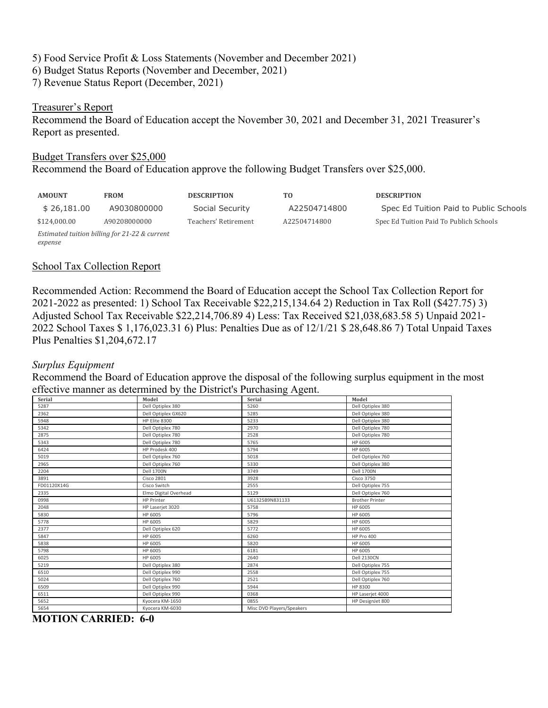5) Food Service Profit & Loss Statements (November and December 2021) 6) Budget Status Reports (November and December, 2021) 7) Revenue Status Report (December, 2021)

#### Treasurer's Report

Recommend the Board of Education accept the November 30, 2021 and December 31, 2021 Treasurer's Report as presented.

#### Budget Transfers over \$25,000

Recommend the Board of Education approve the following Budget Transfers over \$25,000.

| <b>AMOUNT</b>                                 | <b>FROM</b>  | <b>DESCRIPTION</b>   | TO.          | <b>DESCRIPTION</b>                      |  |
|-----------------------------------------------|--------------|----------------------|--------------|-----------------------------------------|--|
| \$26,181.00                                   | A9030800000  | Social Security      | A22504714800 | Spec Ed Tuition Paid to Public Schools  |  |
| \$124.000.00                                  | A90208000000 | Teachers' Retirement | A22504714800 | Spec Ed Tuition Paid To Publich Schools |  |
| Estimated tuition billing for 21-22 & current |              |                      |              |                                         |  |
| expense                                       |              |                      |              |                                         |  |

### School Tax Collection Report

Recommended Action: Recommend the Board of Education accept the School Tax Collection Report for 2021-2022 as presented: 1) School Tax Receivable \$22,215,134.64 2) Reduction in Tax Roll (\$427.75) 3) Adjusted School Tax Receivable \$22,214,706.89 4) Less: Tax Received \$21,038,683.58 5) Unpaid 2021- 2022 School Taxes \$ 1,176,023.31 6) Plus: Penalties Due as of 12/1/21 \$ 28,648.86 7) Total Unpaid Taxes Plus Penalties \$1,204,672.17

### *Surplus Equipment*

Recommend the Board of Education approve the disposal of the following surplus equipment in the most effective manner as determined by the District's Purchasing Agent.

|             |                       | پ                         |                        |
|-------------|-----------------------|---------------------------|------------------------|
| Serial      | Model                 | Serial                    | Model                  |
| 5287        | Dell Optiplex 380     | 5260                      | Dell Optiplex 380      |
| 2362        | Dell Optiplex GX620   | 5285                      | Dell Optiplex 380      |
| 5948        | HP Elite 8300         | 5233                      | Dell Optiplex 380      |
| 5342        | Dell Optiplex 780     | 2970                      | Dell Optiplex 780      |
| 2875        | Dell Optiplex 780     | 2528                      | Dell Optiplex 780      |
| 5343        | Dell Optiplex 780     | 5765                      | HP 6005                |
| 6424        | HP Prodesk 400        | 5794                      | HP 6005                |
| 5019        | Dell Optiplex 760     | 5018                      | Dell Optiplex 760      |
| 2965        | Dell Optiplex 760     | 5330                      | Dell Optiplex 380      |
| 2204        | <b>Dell 1700N</b>     | 3749                      | <b>Dell 1700N</b>      |
| 3891        | <b>Cisco 2801</b>     | 3928                      | <b>Cisco 3750</b>      |
| FD01120X14G | Cisco Switch          | 2555                      | Dell Optiplex 755      |
| 2335        | Elmo Digital Overhead | 5129                      | Dell Optiplex 760      |
| 0998        | <b>HP Printer</b>     | U61325B9N831133           | <b>Brother Printer</b> |
| 2048        | HP Laserjet 3020      | 5758                      | HP 6005                |
| 5830        | HP 6005               | 5796                      | HP 6005                |
| 5778        | HP 6005               | 5829                      | HP 6005                |
| 2377        | Dell Optiplex 620     | 5772                      | HP 6005                |
| 5847        | HP 6005               | 6260                      | <b>HP Pro 400</b>      |
| 5838        | HP 6005               | 5820                      | HP 6005                |
| 5798        | HP 6005               | 6181                      | HP 6005                |
| 6025        | HP 6005               | 2640                      | <b>Dell 2130CN</b>     |
| 5219        | Dell Optiplex 380     | 2874                      | Dell Optiplex 755      |
| 6510        | Dell Optiplex 990     | 2558                      | Dell Optiplex 755      |
| 5024        | Dell Optiplex 760     | 2521                      | Dell Optiplex 760      |
| 6509        | Dell Optiplex 990     | 5944                      | HP 8300                |
| 6511        | Dell Optiplex 990     | 0368                      | HP Laserjet 4000       |
| 5652        | Kyocera KM-1650       | 0855                      | HP DesignJet 800       |
| 5654        | Kyocera KM-6030       | Misc DVD Players/Speakers |                        |
|             |                       |                           |                        |

**MOTION CARRIED: 6-0**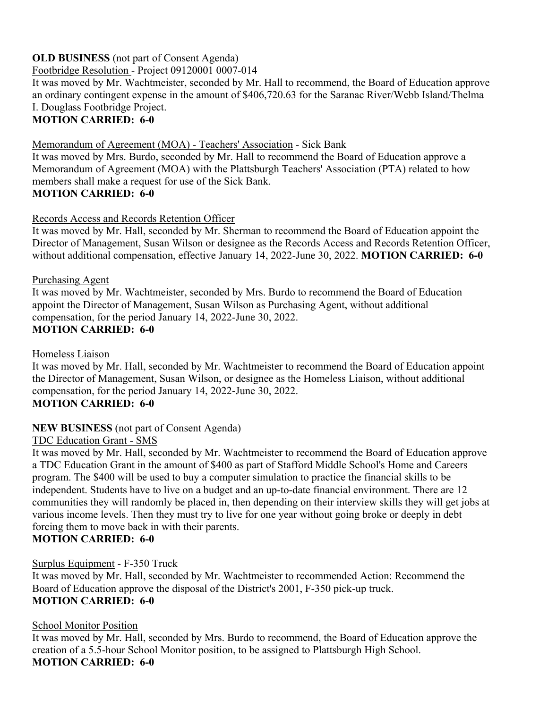# **OLD BUSINESS** (not part of Consent Agenda)

Footbridge Resolution - Project 09120001 0007-014

It was moved by Mr. Wachtmeister, seconded by Mr. Hall to recommend, the Board of Education approve an ordinary contingent expense in the amount of \$406,720.63 for the Saranac River/Webb Island/Thelma I. Douglass Footbridge Project.

# **MOTION CARRIED: 6-0**

Memorandum of Agreement (MOA) - Teachers' Association - Sick Bank

It was moved by Mrs. Burdo, seconded by Mr. Hall to recommend the Board of Education approve a Memorandum of Agreement (MOA) with the Plattsburgh Teachers' Association (PTA) related to how members shall make a request for use of the Sick Bank. **MOTION CARRIED: 6-0**

## Records Access and Records Retention Officer

It was moved by Mr. Hall, seconded by Mr. Sherman to recommend the Board of Education appoint the Director of Management, Susan Wilson or designee as the Records Access and Records Retention Officer, without additional compensation, effective January 14, 2022-June 30, 2022. **MOTION CARRIED: 6-0**

Purchasing Agent It was moved by Mr. Wachtmeister, seconded by Mrs. Burdo to recommend the Board of Education appoint the Director of Management, Susan Wilson as Purchasing Agent, without additional compensation, for the period January 14, 2022-June 30, 2022. **MOTION CARRIED: 6-0**

Homeless Liaison

It was moved by Mr. Hall, seconded by Mr. Wachtmeister to recommend the Board of Education appoint the Director of Management, Susan Wilson, or designee as the Homeless Liaison, without additional compensation, for the period January 14, 2022-June 30, 2022. **MOTION CARRIED: 6-0**

## **NEW BUSINESS** (not part of Consent Agenda)

TDC Education Grant - SMS

It was moved by Mr. Hall, seconded by Mr. Wachtmeister to recommend the Board of Education approve a TDC Education Grant in the amount of \$400 as part of Stafford Middle School's Home and Careers program. The \$400 will be used to buy a computer simulation to practice the financial skills to be independent. Students have to live on a budget and an up-to-date financial environment. There are 12 communities they will randomly be placed in, then depending on their interview skills they will get jobs at various income levels. Then they must try to live for one year without going broke or deeply in debt forcing them to move back in with their parents.

## **MOTION CARRIED: 6-0**

Surplus Equipment - F-350 Truck

It was moved by Mr. Hall, seconded by Mr. Wachtmeister to recommended Action: Recommend the Board of Education approve the disposal of the District's 2001, F-350 pick-up truck. **MOTION CARRIED: 6-0**

## School Monitor Position

It was moved by Mr. Hall, seconded by Mrs. Burdo to recommend, the Board of Education approve the creation of a 5.5-hour School Monitor position, to be assigned to Plattsburgh High School. **MOTION CARRIED: 6-0**